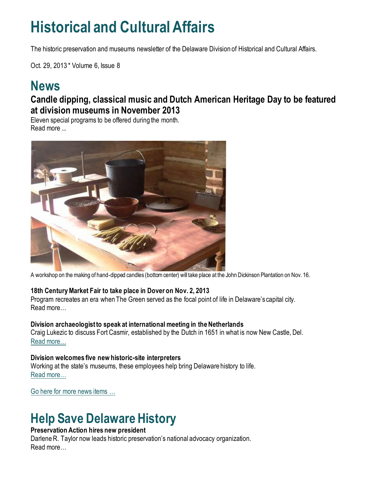## **Historical and Cultural Affairs**

The historic preservation and museums newsletter of the Delaware Division of Historical and Cultural Affairs.

Oct. 29, 2013 \* Volume 6, Issue 8

## **News**

#### **Candle dipping, classical music and Dutch American Heritage Day to be featured at division museums in November 2013**

Eleven special programs to be offered during the month. Read more ...



A workshop on the making of hand-dipped candles (bottom center) will take place at the John Dickinson Plantation on Nov. 16.

#### **18th Century Market Fair to take place in Dover on Nov. 2, 2013**

Program recreates an era when The Green served as the focal point of life in Delaware's capital city. Read more…

#### **Division archaeologist to speak at international meeting in the Netherlands**

Craig Lukezic to discuss Fort Casmir, established by the Dutch in 1651 in what is now New Castle, Del. [Read more…](https://history.delaware.gov/2013/10/25/division-archaeologist-to-speak-at-international-meeting-in-the-netherlands/)

#### **Division welcomes five new historic-site interpreters**

Working at the state's museums, these employees help bring Delaware history to life. [Read more…](https://history.delaware.gov/2013/10/28/division-welcomes-five-new-historic-site-interpreters/)

[Go here for more news items …](http://history.blogs.delaware.gov/)

## **Help Save Delaware History**

#### **Preservation Action hires new president**

Darlene R. Taylor now leads historic preservation's national advocacy organization. Read more…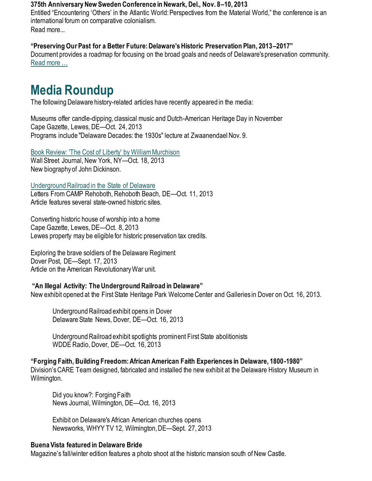#### **375th Anniversary New Sweden Conference in Newark, Del., Nov. 8–10, 2013**

Entitled "Encountering 'Others' in the Atlantic World: Perspectives from the Material World," the conference is an international forum on comparative colonialism. Read more...

#### **"Preserving Our Past for a Better Future: Delaware's Historic Preservation Plan, 2013–2017"**

Document provides a roadmap for focusing on the broad goals and needs of Delaware's preservation community. [Read more …](https://history.delaware.gov/wp-content/uploads/sites/179/2019/02/Preservation-Plan-2013-2017.pdf)

## **Media Roundup**

The following Delaware history-related articles have recently appeared in the media:

Museums offer candle-dipping, classical music and Dutch-American Heritage Day in November Cape Gazette, Lewes, DE—Oct. 24, 2013 Programs include "Delaware Decades: the 1930s" lecture at Zwaanendael Nov. 9.

[Book Review: 'The Cost of Liberty' by William Murchison](https://www.wsj.com/articles/SB10001424052702304176904579114442739371168) Wall Street Journal, New York, NY—Oct. 18, 2013 New biography of John Dickinson.

[Underground Railroad in the State of Delaware](https://www.camprehoboth.com/letters/2013/october-11-2013-camp-sights-arnold-berke)

Letters From CAMP Rehoboth, Rehoboth Beach, DE—Oct. 11, 2013 Article features several state-owned historic sites.

Converting historic house of worship into a home Cape Gazette, Lewes, DE—Oct. 8, 2013 Lewes property may be eligible for historic preservation tax credits.

Exploring the brave soldiers of the Delaware Regiment Dover Post, DE—Sept. 17, 2013 Article on the American Revolutionary War unit.

#### **"An Illegal Activity: The Underground Railroad in Delaware"**

New exhibit opened at the First State Heritage Park Welcome Center and Galleries in Dover on Oct. 16, 2013.

Underground Railroad exhibit opens in Dover Delaware State News, Dover, DE—Oct. 16, 2013

Underground Railroad exhibit spotlights prominent First State abolitionists WDDE Radio, Dover, DE—Oct. 16, 2013

#### **"Forging Faith, Building Freedom: African American Faith Experiences in Delaware, 1800-1980"**

Division's CARE Team designed, fabricated and installed the new exhibit at the Delaware History Museum in Wilmington.

Did you know?: Forging Faith News Journal, Wilmington, DE—Oct. 16, 2013

Exhibit on Delaware's African American churches opens Newsworks, WHYY TV 12, Wilmington, DE—Sept. 27, 2013

#### **Buena Vista featured in Delaware Bride**

Magazine's fall/winter edition features a photo shoot at the historic mansion south of New Castle.